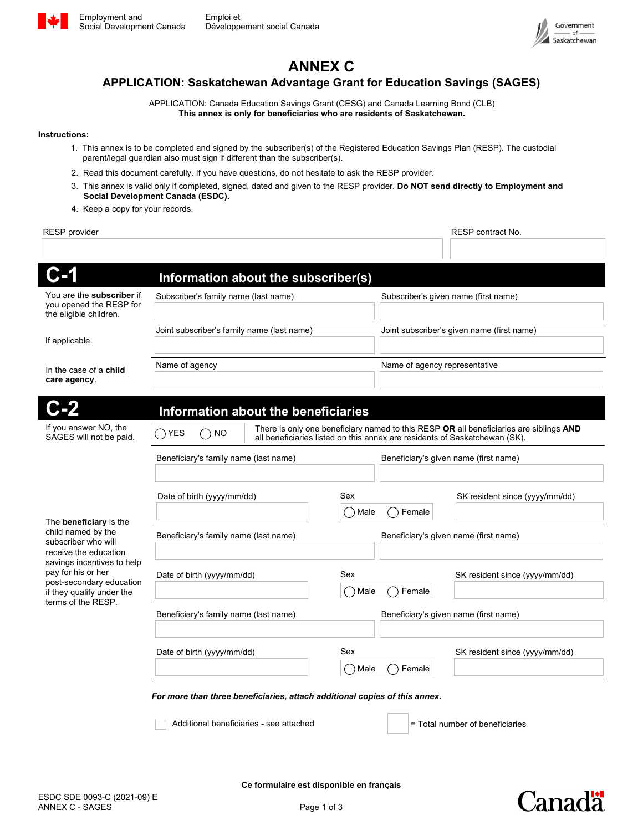



# **ANNEX C**

#### **APPLICATION: Saskatchewan Advantage Grant for Education Savings (SAGES)**

APPLICATION: Canada Education Savings Grant (CESG) and Canada Learning Bond (CLB) **This annex is only for beneficiaries who are residents of Saskatchewan.**

#### **Instructions:**

- 1. This annex is to be completed and signed by the subscriber(s) of the Registered Education Savings Plan (RESP). The custodial parent/legal guardian also must sign if different than the subscriber(s).
- 2. Read this document carefully. If you have questions, do not hesitate to ask the RESP provider.
- 3. This annex is valid only if completed, signed, dated and given to the RESP provider. **Do NOT send directly to Employment and Social Development Canada (ESDC).**
- 4. Keep a copy for your records.

| <b>RESP</b> provider                                                                                                                                                                                                                   |                                                                                                                                                                                                    |                        |                                            | RESP contract No.               |
|----------------------------------------------------------------------------------------------------------------------------------------------------------------------------------------------------------------------------------------|----------------------------------------------------------------------------------------------------------------------------------------------------------------------------------------------------|------------------------|--------------------------------------------|---------------------------------|
|                                                                                                                                                                                                                                        |                                                                                                                                                                                                    |                        |                                            |                                 |
| C-1                                                                                                                                                                                                                                    | Information about the subscriber(s)                                                                                                                                                                |                        |                                            |                                 |
| You are the <b>subscriber</b> if<br>you opened the RESP for<br>the eligible children.                                                                                                                                                  | Subscriber's family name (last name)                                                                                                                                                               |                        | Subscriber's given name (first name)       |                                 |
| If applicable.                                                                                                                                                                                                                         | Joint subscriber's family name (last name)                                                                                                                                                         |                        | Joint subscriber's given name (first name) |                                 |
| In the case of a <b>child</b><br>care agency.                                                                                                                                                                                          | Name of agency                                                                                                                                                                                     |                        | Name of agency representative              |                                 |
| <b>C-2</b>                                                                                                                                                                                                                             | Information about the beneficiaries                                                                                                                                                                |                        |                                            |                                 |
| If you answer NO, the<br>SAGES will not be paid.                                                                                                                                                                                       | There is only one beneficiary named to this RESP OR all beneficiaries are siblings AND<br>$\bigcap$ YES<br><b>NO</b><br>all beneficiaries listed on this annex are residents of Saskatchewan (SK). |                        |                                            |                                 |
| The <b>beneficiary</b> is the<br>child named by the<br>subscriber who will<br>receive the education<br>savings incentives to help<br>pay for his or her<br>post-secondary education<br>if they qualify under the<br>terms of the RESP. | Beneficiary's family name (last name)                                                                                                                                                              |                        | Beneficiary's given name (first name)      |                                 |
|                                                                                                                                                                                                                                        | Date of birth (yyyy/mm/dd)                                                                                                                                                                         | Sex<br>$()$ Male       | Female                                     | SK resident since (yyyy/mm/dd)  |
|                                                                                                                                                                                                                                        | Beneficiary's family name (last name)<br>Beneficiary's given name (first name)                                                                                                                     |                        |                                            |                                 |
|                                                                                                                                                                                                                                        | Date of birth (yyyy/mm/dd)                                                                                                                                                                         | Sex<br>$\bigcirc$ Male | Female                                     | SK resident since (yyyy/mm/dd)  |
|                                                                                                                                                                                                                                        | Beneficiary's family name (last name)                                                                                                                                                              |                        | Beneficiary's given name (first name)      |                                 |
|                                                                                                                                                                                                                                        | Date of birth (yyyy/mm/dd)                                                                                                                                                                         | Sex                    |                                            | SK resident since (yyyy/mm/dd)  |
|                                                                                                                                                                                                                                        |                                                                                                                                                                                                    | $\bigcirc$ Male        | Female                                     |                                 |
|                                                                                                                                                                                                                                        | For more than three beneficiaries, attach additional copies of this annex.                                                                                                                         |                        |                                            |                                 |
|                                                                                                                                                                                                                                        | Additional beneficiaries - see attached                                                                                                                                                            |                        |                                            | = Total number of beneficiaries |

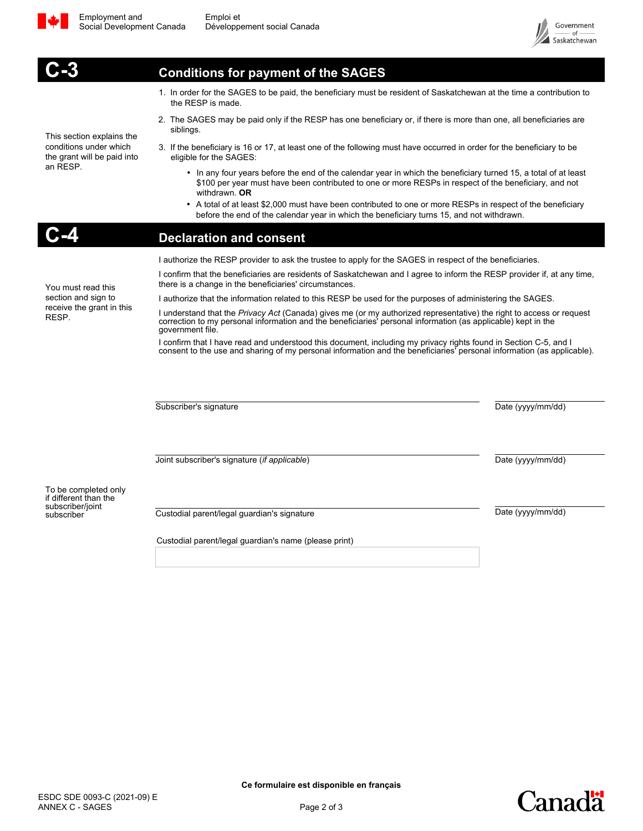

$$
\frac{1}{2}
$$



This section explains the conditions under which the grant will be paid into an RESP.

You must read this section and sign to receive the grant in this

RESP.

### **Conditions for payment of the SAGES**

- 1. In order for the SAGES to be paid, the beneficiary must be resident of Saskatchewan at the time a contribution to the RESP is made.
- 2. The SAGES may be paid only if the RESP has one beneficiary or, if there is more than one, all beneficiaries are siblings.
- 3. If the beneficiary is 16 or 17, at least one of the following must have occurred in order for the beneficiary to be eligible for the SAGES:
	- In any four years before the end of the calendar year in which the beneficiary turned 15, a total of at least \$100 per year must have been contributed to one or more RESPs in respect of the beneficiary, and not withdrawn. **OR**
	- A total of at least \$2,000 must have been contributed to one or more RESPs in respect of the beneficiary before the end of the calendar year in which the beneficiary turns 15, and not withdrawn.

#### **Declaration and consent**

I authorize the RESP provider to ask the trustee to apply for the SAGES in respect of the beneficiaries.

I confirm that the beneficiaries are residents of Saskatchewan and I agree to inform the RESP provider if, at any time, there is a change in the beneficiaries' circumstances.

I authorize that the information related to this RESP be used for the purposes of administering the SAGES.

I understand that the *Privacy Act* (Canada) gives me (or my authorized representative) the right to access or request<br>correction to my personal information and the beneficiaries' personal information (as applicable) kept government file.

I confirm that I have read and understood this document, including my privacy rights found in Section C-5, and I consent to the use and sharing of my personal information and the beneficiaries' personal information (as applicable).

Subscriber's signature Date (yyyy/mm/dd)

Joint subscriber's signature (*if applicable*) Date (yyyy/mm/dd)

To be completed only if different than the subscriber/joint<br>subscriber

Custodial parent/legal guardian's signature **Date (yyyy/mm/dd)** Date (yyyy/mm/dd)

Custodial parent/legal guardian's name (please print)